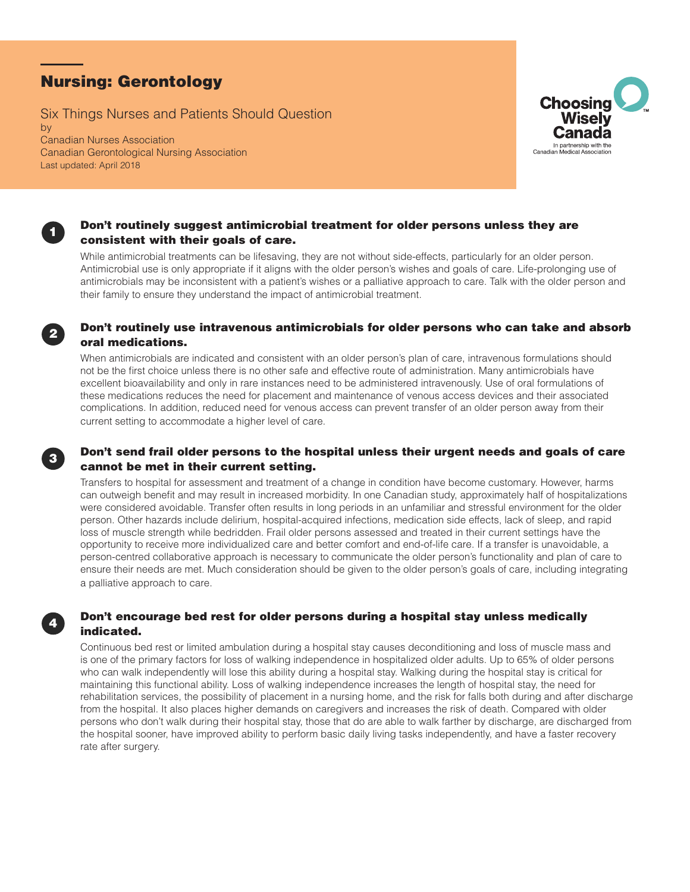# Nursing: Gerontology

Last updated: April 2018

Six Things Nurses and Patients Should Question by Canadian Nurses Association Canadian Gerontological Nursing Association



## Don't routinely suggest antimicrobial treatment for older persons unless they are consistent with their goals of care.

While antimicrobial treatments can be lifesaving, they are not without side-effects, particularly for an older person. Antimicrobial use is only appropriate if it aligns with the older person's wishes and goals of care. Life-prolonging use of antimicrobials may be inconsistent with a patient's wishes or a palliative approach to care. Talk with the older person and their family to ensure they understand the impact of antimicrobial treatment.



When antimicrobials are indicated and consistent with an older person's plan of care, intravenous formulations should not be the first choice unless there is no other safe and effective route of administration. Many antimicrobials have excellent bioavailability and only in rare instances need to be administered intravenously. Use of oral formulations of these medications reduces the need for placement and maintenance of venous access devices and their associated complications. In addition, reduced need for venous access can prevent transfer of an older person away from their current setting to accommodate a higher level of care.

# <sup>3</sup> Don't send frail older persons to the hospital unless their urgent needs and goals of care cannot be met in their current setting.

Transfers to hospital for assessment and treatment of a change in condition have become customary. However, harms can outweigh benefit and may result in increased morbidity. In one Canadian study, approximately half of hospitalizations were considered avoidable. Transfer often results in long periods in an unfamiliar and stressful environment for the older person. Other hazards include delirium, hospital-acquired infections, medication side effects, lack of sleep, and rapid loss of muscle strength while bedridden. Frail older persons assessed and treated in their current settings have the opportunity to receive more individualized care and better comfort and end-of-life care. If a transfer is unavoidable, a person-centred collaborative approach is necessary to communicate the older person's functionality and plan of care to ensure their needs are met. Much consideration should be given to the older person's goals of care, including integrating a palliative approach to care.

# Don't encourage bed rest for older persons during a hospital stay unless medically indicated.

Continuous bed rest or limited ambulation during a hospital stay causes deconditioning and loss of muscle mass and is one of the primary factors for loss of walking independence in hospitalized older adults. Up to 65% of older persons who can walk independently will lose this ability during a hospital stay. Walking during the hospital stay is critical for maintaining this functional ability. Loss of walking independence increases the length of hospital stay, the need for rehabilitation services, the possibility of placement in a nursing home, and the risk for falls both during and after discharge from the hospital. It also places higher demands on caregivers and increases the risk of death. Compared with older persons who don't walk during their hospital stay, those that do are able to walk farther by discharge, are discharged from the hospital sooner, have improved ability to perform basic daily living tasks independently, and have a faster recovery rate after surgery.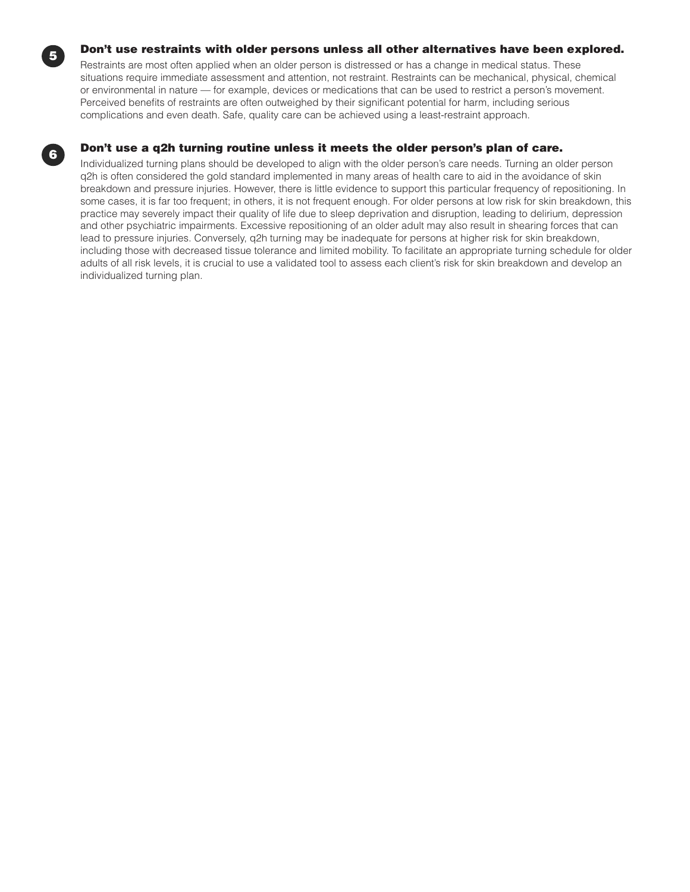

Restraints are most often applied when an older person is distressed or has a change in medical status. These situations require immediate assessment and attention, not restraint. Restraints can be mechanical, physical, chemical or environmental in nature — for example, devices or medications that can be used to restrict a person's movement. Perceived benefits of restraints are often outweighed by their significant potential for harm, including serious complications and even death. Safe, quality care can be achieved using a least-restraint approach.

# <sup>6</sup> Don't use a q2h turning routine unless it meets the older person's plan of care.

Individualized turning plans should be developed to align with the older person's care needs. Turning an older person q2h is often considered the gold standard implemented in many areas of health care to aid in the avoidance of skin breakdown and pressure injuries. However, there is little evidence to support this particular frequency of repositioning. In some cases, it is far too frequent; in others, it is not frequent enough. For older persons at low risk for skin breakdown, this practice may severely impact their quality of life due to sleep deprivation and disruption, leading to delirium, depression and other psychiatric impairments. Excessive repositioning of an older adult may also result in shearing forces that can lead to pressure injuries. Conversely, q2h turning may be inadequate for persons at higher risk for skin breakdown, including those with decreased tissue tolerance and limited mobility. To facilitate an appropriate turning schedule for older adults of all risk levels, it is crucial to use a validated tool to assess each client's risk for skin breakdown and develop an individualized turning plan.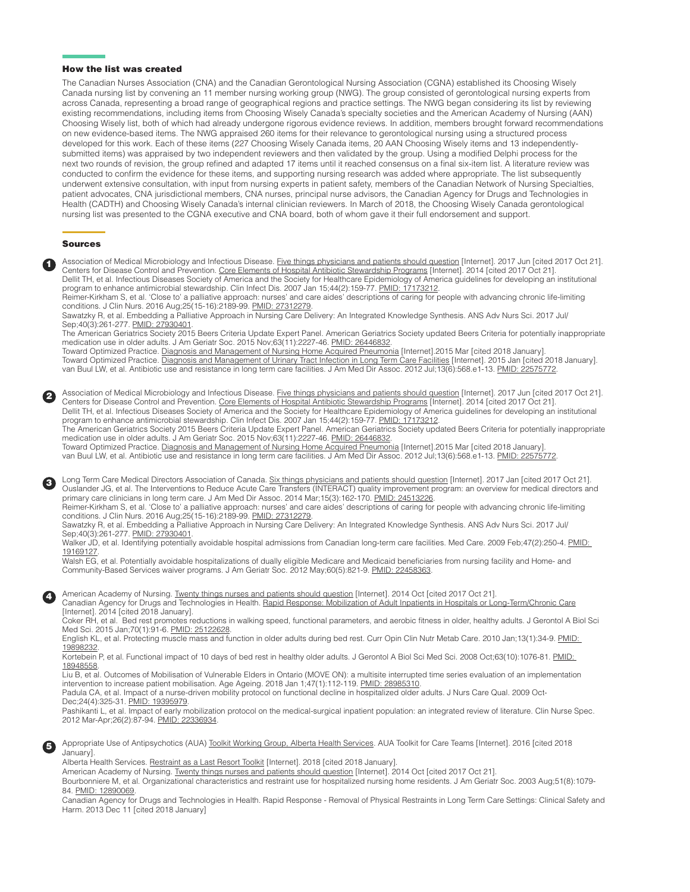#### How the list was created

The Canadian Nurses Association (CNA) and the Canadian Gerontological Nursing Association (CGNA) established its Choosing Wisely Canada nursing list by convening an 11 member nursing working group (NWG). The group consisted of gerontological nursing experts from across Canada, representing a broad range of geographical regions and practice settings. The NWG began considering its list by reviewing existing recommendations, including items from Choosing Wisely Canada's specialty societies and the American Academy of Nursing (AAN) Choosing Wisely list, both of which had already undergone rigorous evidence reviews. In addition, members brought forward recommendations on new evidence-based items. The NWG appraised 260 items for their relevance to gerontological nursing using a structured process developed for this work. Each of these items (227 Choosing Wisely Canada items, 20 AAN Choosing Wisely items and 13 independentlysubmitted items) was appraised by two independent reviewers and then validated by the group. Using a modified Delphi process for the next two rounds of revision, the group refined and adapted 17 items until it reached consensus on a final six-item list. A literature review was conducted to confirm the evidence for these items, and supporting nursing research was added where appropriate. The list subsequently underwent extensive consultation, with input from nursing experts in patient safety, members of the Canadian Network of Nursing Specialties, patient advocates, CNA jurisdictional members, CNA nurses, principal nurse advisors, the Canadian Agency for Drugs and Technologies in Health (CADTH) and Choosing Wisely Canada's internal clinician reviewers. In March of 2018, the Choosing Wisely Canada gerontological nursing list was presented to the CGNA executive and CNA board, both of whom gave it their full endorsement and support.

#### Sources

Association of Medical Microbiology and Infectious Disease. [Five things physicians and patients should question](https://choosingwiselycanada.org/infectious-disease/) [Internet]. 2017 Jun [cited 2017 Oct 21]. Centers for Disease Control and Prevention. [Core Elements of Hospital Antibiotic Stewardship Programs](https://www.cdc.gov/antibiotic-use/healthcare/implementation/core-elements.html) [Internet]. 2014 [cited 2017 Oct 21]. Dellit TH, et al. Infectious Diseases Society of America and the Society for Healthcare Epidemiology of America guidelines for developing an institutional program to enhance antimicrobial stewardship. Clin Infect Dis. 2007 Jan 15;44(2):159-77. [PMID: 17173212.](https://www.ncbi.nlm.nih.gov/pubmed/17173212)

Reimer-Kirkham S, et al. 'Close to' a palliative approach: nurses' and care aides' descriptions of caring for people with advancing chronic life-limiting conditions. J Clin Nurs. 2016 Aug;25(15-16):2189-99. [PMID: 27312279.](https://www.ncbi.nlm.nih.gov/pubmed/27312279)

Sawatzky R, et al. Embedding a Palliative Approach in Nursing Care Delivery: An Integrated Knowledge Synthesis. ANS Adv Nurs Sci. 2017 Jul/ Sep;40(3):261-277. [PMID: 27930401.](https://www.ncbi.nlm.nih.gov/pubmed/27930401)

The American Geriatrics Society 2015 Beers Criteria Update Expert Panel. American Geriatrics Society updated Beers Criteria for potentially inappropriate medication use in older adults. J Am Geriatr Soc. 2015 Nov;63(11):2227-46. [PMID: 26446832](https://www.ncbi.nlm.nih.gov/pubmed/26446832).

Toward Optimized Practice. [Diagnosis and Management of Nursing Home Acquired Pneumonia](http://www.topalbertadoctors.org/cpgs/26068622) [Internet].2015 Mar [cited 2018 January]. Toward Optimized Practice. [Diagnosis and Management of Urinary Tract Infection in Long Term Care Facilities](http://www.topalbertadoctors.org/cpgs/6447534) [Internet]. 2015 Jan [cited 2018 January]. van Buul LW, et al. Antibiotic use and resistance in long term care facilities. J Am Med Dir Assoc. 2012 Jul;13(6):568.e1-13. [PMID: 22575772.](https://www.ncbi.nlm.nih.gov/pubmed/22575772)

Association of Medical Microbiology and Infectious Disease. [Five things physicians and patients should question](https://choosingwiselycanada.org/infectious-disease/) [Internet]. 2017 Jun [cited 2017 Oct 21].<br>Centers for Disease Control and Prevention. Core Elements of Hospita Dellit TH, et al. Infectious Diseases Society of America and the Society for Healthcare Epidemiology of America guidelines for developing an institutional program to enhance antimicrobial stewardship. Clin Infect Dis. 2007 Jan 15;44(2):159-77. [PMID: 17173212.](https://www.ncbi.nlm.nih.gov/pubmed/17173212)

The American Geriatrics Society 2015 Beers Criteria Update Expert Panel. American Geriatrics Society updated Beers Criteria for potentially inappropriate medication use in older adults. J Am Geriatr Soc. 2015 Nov;63(11):2227-46. [PMID: 26446832](https://www.ncbi.nlm.nih.gov/pubmed/26446832).

Toward Optimized Practice. <u>Diagnosis and Management of Nursing Home Acquired Pneumonia</u> [Internet].2015 Mar [cited 2018 January]. van Buul LW, et al. Antibiotic use and resistance in long term care facilities. J Am Med Dir Assoc. 2012 Jul;13(6):568.e1-13. [PMID: 22575772.](https://www.ncbi.nlm.nih.gov/pubmed/22575772)

**3** Long Term Care Medical Directors Association of Canada. [Six things physicians and patients should question](https://choosingwiselycanada.org/long-term-care/) [Internet]. 2017 Jan [cited 2017 Oct 21]. Ouslander JG, et al. The Interventions to Reduce Acute Care Transfers (INTERACT) quality improvement program: an overview for medical directors and primary care clinicians in long term care. J Am Med Dir Assoc. 2014 Mar; 15(3): 162-170. [PMID: 24513226](https://www.ncbi.nlm.nih.gov/pubmed/24513226).

Reimer-Kirkham S, et al. 'Close to' a palliative approach: nurses' and care aides' descriptions of caring for people with advancing chronic life-limiting conditions. J Clin Nurs. 2016 Aug;25(15-16):2189-99. [PMID: 27312279.](https://www.ncbi.nlm.nih.gov/pubmed/27312279)

Sawatzky R, et al. Embedding a Palliative Approach in Nursing Care Delivery: An Integrated Knowledge Synthesis. ANS Adv Nurs Sci. 2017 Jul/ Sep;40(3):261-277. [PMID: 27930401.](https://www.ncbi.nlm.nih.gov/pubmed/27930401)

Walker JD, et al. Identifying potentially avoidable hospital admissions from Canadian long-term care facilities. Med Care. 2009 Feb;47(2):250-4. PMID: [19169127](https://www.ncbi.nlm.nih.gov/pubmed/19169127).

Walsh EG, et al. Potentially avoidable hospitalizations of dually eligible Medicare and Medicaid beneficiaries from nursing facility and Home- and Community-Based Services waiver programs. J Am Geriatr Soc. 2012 May;60(5):821-9. [PMID: 22458363](https://www.ncbi.nlm.nih.gov/pubmed/22458363).

4 American Academy of Nursing. [Twenty things nurses and patients should question](http://www.choosingwisely.org/societies/american-academy-of-nursing/) [Internet]. 2014 Oct [cited 2017 Oct 21]. Canadian Agency for Drugs and Technologies in Health. [Rapid Response: Mobilization of Adult Inpatients in Hospitals or Long-Term/Chronic Care](https://cadth.ca/sites/default/files/pdf/htis/mar-2014/RB0654%20Ambulating%20Elderly%20Patients%20Final.pdf)

[Internet]. 2014 [cited 2018 January].

Coker RH, et al. Bed rest promotes reductions in walking speed, functional parameters, and aerobic fitness in older, healthy adults. J Gerontol A Biol Sci Med Sci. 2015 Jan;70(1):91-6. [PMID: 25122628.](https://www.ncbi.nlm.nih.gov/pubmed/25122628)

English KL, et al. Protecting muscle mass and function in older adults during bed rest. Curr Opin Clin Nutr Metab Care. 2010 Jan;13(1):34-9. PMID: [19898232](https://www.ncbi.nlm.nih.gov/pubmed/19898232).

Kortebein P, et al. Functional impact of 10 days of bed rest in healthy older adults. J Gerontol A Biol Sci Med Sci. 2008 Oct;63(10):1076-81. PMID: [18948558](https://www.ncbi.nlm.nih.gov/pubmed/18948558).

Liu B, et al. Outcomes of Mobilisation of Vulnerable Elders in Ontario (MOVE ON): a multisite interrupted time series evaluation of an implementation intervention to increase patient mobilisation. Age Ageing. 2018 Jan 1;47(1):112-119. [PMID: 28985310](https://www.ncbi.nlm.nih.gov/pubmed/28985310).

Padula CA, et al. Impact of a nurse-driven mobility protocol on functional decline in hospitalized older adults. J Nurs Care Qual. 2009 Oct-Dec;24(4):325-31. [PMID: 19395979](https://www.ncbi.nlm.nih.gov/pubmed/19395979).

Pashikanti L, et al. Impact of early mobilization protocol on the medical-surgical inpatient population: an integrated review of literature. Clin Nurse Spec. 2012 Mar-Apr;26(2):87-94. [PMID: 22336934](https://www.ncbi.nlm.nih.gov/pubmed/22336934).

5 Appropriate Use of Antipsychotics (AUA) [Toolkit Working Group, Alberta Health Services.](http://www.albertahealthservices.ca/scns/auatoolkit.aspx) AUA Toolkit for Care Teams [Internet]. 2016 [cited 2018 January].

Alberta Health Services. [Restraint as a Last Resort Toolkit](https://www.albertahealthservices.ca/info/Page15702.aspx) [Internet]. 2018 [cited 2018 January].

American Academy of Nursing. [Twenty things nurses and patients should question](http://www.choosingwisely.org/societies/american-academy-of-nursing/) [Internet]. 2014 Oct [cited 2017 Oct 21].

Bourbonniere M, et al. Organizational characteristics and restraint use for hospitalized nursing home residents. J Am Geriatr Soc. 2003 Aug;51(8):1079- 84. [PMID: 12890069](https://www.ncbi.nlm.nih.gov/pubmed/12890069).

Canadian Agency for Drugs and Technologies in Health. Rapid Response - Removal of Physical Restraints in Long Term Care Settings: Clinical Safety and Harm. 2013 Dec 11 [cited 2018 January]